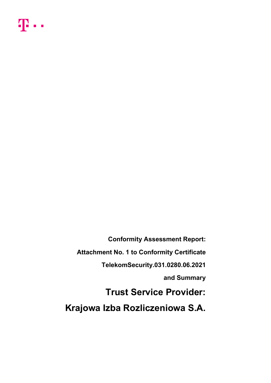

Conformity Assessment Report: Attachment No. 1 to Conformity Certificate TelekomSecurity.031.0280.06.2021 and Summary Trust Service Provider: Krajowa Izba Rozliczeniowa S.A.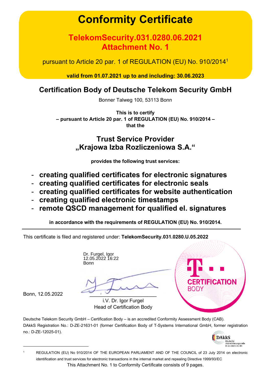# Conformity Certificate

# TelekomSecurity.031.0280.06.2021 Attachment No. 1

pursuant to Article 20 par. 1 of REGULATION (EU) No. 910/2014<sup>1</sup>

valid from 01.07.2021 up to and including: 30.06.2023

# Certification Body of Deutsche Telekom Security GmbH

Bonner Talweg 100, 53113 Bonn

This is to certify – pursuant to Article 20 par. 1 of REGULATION (EU) No. 910/2014 – that the

# Trust Service Provider "Krajowa Izba Rozliczeniowa S.A."

provides the following trust services:

- creating qualified certificates for electronic signatures
- creating qualified certificates for electronic seals
- creating qualified certificates for website authentication
- creating qualified electronic timestamps
- remote QSCD management for qualified el. signatures

in accordance with the requirements of REGULATION (EU) No. 910/2014.

This certificate is filed and registered under: TelekomSecurity.031.0280.U.05.2022

Dr. Furgel, Igor 12.05.2022 16:22 **Bonn** 



Bonn, 12.05.2022 \_\_\_\_\_\_\_\_\_\_\_\_\_\_\_\_\_\_\_\_\_\_

i.V. Dr. Igor Furgel Head of Certification Body

Deutsche Telekom Security GmbH – Certification Body – is an accredited Conformity Assessment Body (CAB). DAkkS Registration No.: D-ZE-21631-01 (former Certification Body of T-Systems International GmbH, former registration no.: D-ZE-12025-01).



This Attachment No. 1 to Conformity Certificate consists of 9 pages. 1 REGULATION (EU) No 910/2014 OF THE EUROPEAN PARLIAMENT AND OF THE COUNCIL of 23 July 2014 on electronic identification and trust services for electronic transactions in the internal market and repealing Directive 1999/93/EC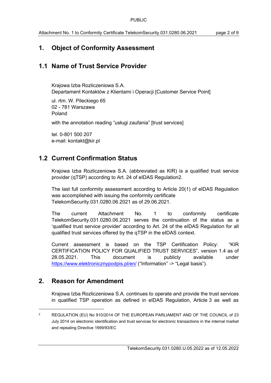# 1. Object of Conformity Assessment

# 1.1 Name of Trust Service Provider

Krajowa Izba Rozliczeniowa S.A. Departament Kontaktów z Klientami i Operacji [Customer Service Point]

ul. rtm. W. Pileckiego 65 02 - 781 Warszawa Poland

with the annotation reading "usługi zaufania" [trust services]

tel. 0-801 500 207 e-mail: kontakt@kir.pl

# 1.2 Current Confirmation Status

Krajowa Izba Rozliczeniowa S.A. (abbreviated as KIR) is a qualified trust service provider (qTSP) according to Art. 24 of eIDAS Regulation2.

The last full conformity assessment according to Article 20(1) of eIDAS Regulation was accomplished with issuing the conformity certificate TelekomSecurity.031.0280.06.2021 as of 29.06.2021.

The current Attachment No. 1 to conformity certificate TelekomSecurity.031.0280.06.2021 serves the continuation of the status as a 'qualified trust service provider' according to Art. 24 of the eIDAS Regulation for all qualified trust services offered by the qTSP in the eIDAS context.

Current assessment is based on the TSP Certification Policy: "KIR CERTIFICATION POLICY FOR QUALIFIED TRUST SERVICES", version 1.4 as of 28.05.2021. This document is publicly available under https://www.elektronicznypodpis.pl/en/ ("Information" -> "Legal basis").

# 2. Reason for Amendment

Krajowa Izba Rozliczeniowa S.A. continues to operate and provide the trust services in qualified TSP operation as defined in eIDAS Regulation, Article 3 as well as

<sup>2</sup> REGULATION (EU) No 910/2014 OF THE EUROPEAN PARLIAMENT AND OF THE COUNCIL of 23 July 2014 on electronic identification and trust services for electronic transactions in the internal market and repealing Directive 1999/93/EC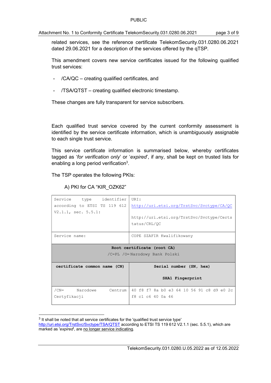#### Attachment No. 1 to Conformity Certificate TelekomSecurity.031.0280.06.2021 page 3 of 9

related services, see the reference certificate TelekomSecurity.031.0280.06.2021 dated 29.06.2021 for a description of the services offered by the qTSP.

This amendment covers new service certificates issued for the following qualified trust services:

- $/CA/QC$  creating qualified certificates, and
- /TSA/QTST creating qualified electronic timestamp.

These changes are fully transparent for service subscribers.

Each qualified trust service covered by the current conformity assessment is identified by the service certificate information, which is unambiguously assignable to each single trust service.

This service certificate information is summarised below, whereby certificates tagged as 'for verification only' or 'expired', if any, shall be kept on trusted lists for enabling a long period verification<sup>3</sup>.

The TSP operates the following PKIs:

A) PKI for CA "KIR\_OZK62"

| Service<br>type identifier<br>according to ETSI TS 119 612<br>$V2.1.1$ , sec. $5.5.1$ : | URI:<br>http://uri.etsi.org/TrstSvc/Svctype/CA/QC<br>http://uri.etsi.org/TrstSvc/Svctype/Certs<br>tatus/CRL/OC |  |  |
|-----------------------------------------------------------------------------------------|----------------------------------------------------------------------------------------------------------------|--|--|
| Service name:                                                                           | COPE SZAFIR Kwalifikowany                                                                                      |  |  |
| Root certificate (root CA)<br>/C=PL /O=Narodowy Bank Polski                             |                                                                                                                |  |  |
| certificate common name (CN)                                                            | Serial number (SN, hex)                                                                                        |  |  |
|                                                                                         | SHA1 Fingerprint                                                                                               |  |  |
| $/CN=$<br>Narodowe<br>Centrum<br>Certyfikacji                                           | 40 f8 f7 8a b0 e3 64 10 56 91 c8 d9 e0 2c<br>f8 c1 c6 40 0a 46                                                 |  |  |

 $3$  It shall be noted that all service certificates for the 'qualified trust service type'

http://uri.etsi.org/TrstSvc/Svctype/TSA/QTST according to ETSI TS 119 612 V2.1.1 (sec. 5.5.1), which are marked as 'expired', are no longer service indicating.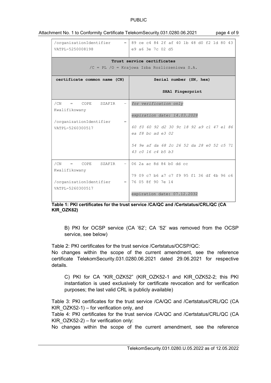#### PUBLIC

| VATPL-5250008198                                                              | /organizationIdentifier $=  89 \text{ ce } c4 \text{ 84 } 2f \text{ af } 40 \text{ lb } 48 \text{ d0 } f2 \text{ 1d } 80 \text{ 43}$<br>e9 a6 3e 7c 02 d5 |  |  |  |  |  |
|-------------------------------------------------------------------------------|-----------------------------------------------------------------------------------------------------------------------------------------------------------|--|--|--|--|--|
| Trust service certificates<br>$/C = PL / O = Krajowa Izba Rozliczeniowa S.A.$ |                                                                                                                                                           |  |  |  |  |  |
| certificate common name (CN)                                                  | Serial number (SN, hex)                                                                                                                                   |  |  |  |  |  |
|                                                                               | SHA1 Fingerprint                                                                                                                                          |  |  |  |  |  |
| /CN<br>COPE SZAFIR<br>$-1$<br>$=$                                             | for verification only                                                                                                                                     |  |  |  |  |  |
| Kwalifikowany                                                                 |                                                                                                                                                           |  |  |  |  |  |
| $=$                                                                           | expiration date: 14.03.2028                                                                                                                               |  |  |  |  |  |
| /organizationIdentifier<br>VATPL-5260300517                                   | 60 f0 60 92 d2 30 9c 18 92 a9 c1 47 e1 86                                                                                                                 |  |  |  |  |  |
|                                                                               | ea $f8$ bc ad e3 02                                                                                                                                       |  |  |  |  |  |
|                                                                               |                                                                                                                                                           |  |  |  |  |  |
|                                                                               | 54 9e af da 68 2c 26 52 da 28 e0 52 c5 71                                                                                                                 |  |  |  |  |  |
|                                                                               | 43 $c0$ 16 $c4$ b5 b3                                                                                                                                     |  |  |  |  |  |
| /CN<br>COPE<br>SZAFIR<br>$=$ $-$                                              | $-106$ 2a ac 8d 84 b0 dd cc                                                                                                                               |  |  |  |  |  |
| Kwalifikowany                                                                 |                                                                                                                                                           |  |  |  |  |  |
|                                                                               | 79 09 c7 b6 a7 c7 f9 95 f1 36 df 4b 96 c6                                                                                                                 |  |  |  |  |  |
| /organizationIdentifier                                                       | $=$ 76 05 8f 90 7e 14                                                                                                                                     |  |  |  |  |  |
| VATPL-5260300517                                                              | expiration date: 07.12.2032                                                                                                                               |  |  |  |  |  |

#### Attachment No. 1 to Conformity Certificate TelekomSecurity.031.0280.06.2021 page 4 of 9

Table 1: PKI certificates for the trust service /CA/QC and /Certstatus/CRL/QC (CA KIR\_OZK62)

B) PKI for OCSP service (CA '62'; CA '52' was removed from the OCSP service, see below)

Table 2: PKI certificates for the trust service /Certstatus/OCSP/QC:

No changes within the scope of the current amendment, see the reference certificate TelekomSecurity.031.0280.06.2021 dated 29.06.2021 for respective details.

C) PKI for CA "KIR\_OZK52" (KIR\_OZK52-1 and KIR\_OZK52-2; this PKI instantiation is used exclusively for certificate revocation and for verification purposes; the last valid CRL is publicly available)

Table 3: PKI certificates for the trust service /CA/QC and /Certstatus/CRL/QC (CA KIR  $OZK52-1$ ) – for verification only, and

Table 4: PKI certificates for the trust service /CA/QC and /Certstatus/CRL/QC (CA KIR  $OZK52-2$ ) – for verification only:

No changes within the scope of the current amendment, see the reference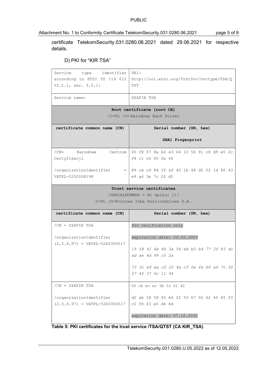#### PUBLIC

Attachment No. 1 to Conformity Certificate TelekomSecurity.031.0280.06.2021 page 5 of 9

certificate TelekomSecurity.031.0280.06.2021 dated 29.06.2021 for respective details.

#### D) PKI for "KIR TSA"

| Service type identifier<br>according to ETSI TS 119 612<br>$V2.1.1$ , sec. $5.5.1$ : | URI:<br>http://uri.etsi.org/TrstSvc/Svctype/TSA/Q<br>TST                                                                              |  |
|--------------------------------------------------------------------------------------|---------------------------------------------------------------------------------------------------------------------------------------|--|
| Service name:                                                                        | SZAFIR TSA                                                                                                                            |  |
| Root certificate (root CA)                                                           |                                                                                                                                       |  |
|                                                                                      | /C=PL /O=Narodowy Bank Polski                                                                                                         |  |
| certificate common name (CN)                                                         | Serial number (SN, hex)                                                                                                               |  |
|                                                                                      | SHA1 Fingerprint                                                                                                                      |  |
| /CN= Narodowe Centrum                                                                | 40 f8 f7 8a b0 e3 64 10 56 91 c8 d9 e0 2c                                                                                             |  |
| Certyfikacji                                                                         | f8 c1 c6 40 0a 46                                                                                                                     |  |
|                                                                                      | /organizationIdentifier $=   89 \text{ ce } c4 \text{ 84 } 2f \text{ af } 40 \text{ lb } 48 \text{ d0 } f2 \text{ 1d } 80 \text{ 43}$ |  |
| VATPL-5250008198                                                                     | e9 a6 3e 7c 02 d5                                                                                                                     |  |
|                                                                                      | Trust service certificates                                                                                                            |  |
|                                                                                      | $/SERIALNUMBER = Nr wpisu: 11/$<br>C=PL /O=Krajowa Izba Rozliczeniowa S.A.                                                            |  |
|                                                                                      |                                                                                                                                       |  |
| certificate common name (CN)                                                         | Serial number (SN, hex)                                                                                                               |  |
| $/CN = SZAFIR TSA$                                                                   | for verification only                                                                                                                 |  |
| /organizationIdentifier<br>$(2.5.4.97)$ = VATPL-5260300517                           | expiration date: 24.02.2029                                                                                                           |  |
|                                                                                      | 15 58 41 6e 86 3a 56 eb b2 b4 77 2f 83 dc                                                                                             |  |
|                                                                                      | ad ae 4d 99 c0 2a                                                                                                                     |  |
|                                                                                      | 73 3c e9 ea c0 22 4a cf 0e fe b0 a6 7c f2                                                                                             |  |
|                                                                                      | 27 4f 37 5c 11 94                                                                                                                     |  |
| $/CN = SZAFIR TSA$                                                                   | 00 cb ec ec 5b 5c 61 42                                                                                                               |  |
| /organizationIdentifier                                                              | d2 ab 28 58 80 b6 f2 50 67 06 62 40 65 f3                                                                                             |  |
| $(2.5.4.97)$ = VATPL-5260300517                                                      | c0 f8 43 e0 d4 4d                                                                                                                     |  |
|                                                                                      | expiration date: 07.12.2032                                                                                                           |  |

Table 5: PKI certificates for the trust service /TSA/QTST (CA KIR\_TSA)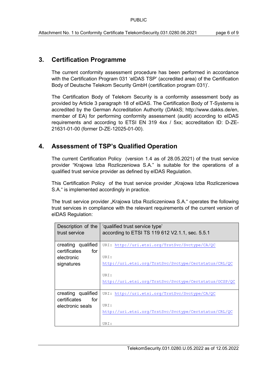### 3. Certification Programme

The current conformity assessment procedure has been performed in accordance with the Certification Program 031 'elDAS TSP' (accredited area) of the Certification Body of Deutsche Telekom Security GmbH (certification program 031)'.

The Certification Body of Telekom Security is a conformity assessment body as provided by Article 3 paragraph 18 of eIDAS. The Certification Body of T-Systems is accredited by the German Accreditation Authority (DAkkS; http://www.dakks.de/en, member of EA) for performing conformity assessment (audit) according to eIDAS requirements and according to ETSI EN 319 4xx / 5xx; accreditation ID: D-ZE-21631-01-00 (former D-ZE-12025-01-00).

### 4. Assessment of TSP's Qualified Operation

The current Certification Policy (version 1.4 as of 28.05.2021) of the trust service provider "Krajowa Izba Rozliczeniowa S.A." is suitable for the operations of a qualified trust service provider as defined by eIDAS Regulation.

This Certification Policy of the trust service provider "Krajowa Izba Rozliczeniowa S.A." is implemented accordingly in practice.

The trust service provider "Krajowa Izba Rozliczeniowa S.A." operates the following trust services in compliance with the relevant requirements of the current version of eIDAS Regulation:

| Description of the<br>trust service       | 'qualified trust service type'<br>according to ETSI TS 119 612 V2.1.1, sec. 5.5.1 |
|-------------------------------------------|-----------------------------------------------------------------------------------|
| creating qualified<br>certificates<br>for | URI: http://uri.etsi.org/TrstSvc/Svctype/CA/QC                                    |
| electronic                                | URI:                                                                              |
| signatures                                | http://uri.etsi.org/TrstSvc/Svctype/Certstatus/CRL/QC                             |
|                                           | URI:                                                                              |
|                                           | http://uri.etsi.org/TrstSvc/Svctype/Certstatus/OCSP/QC                            |
| creating qualified                        | URI: http://uri.etsi.org/TrstSvc/Svctype/CA/QC                                    |
| for<br>certificates                       |                                                                                   |
| electronic seals                          | URI:                                                                              |
|                                           | http://uri.etsi.org/TrstSvc/Svctype/Certstatus/CRL/QC                             |
|                                           |                                                                                   |
|                                           | URI:                                                                              |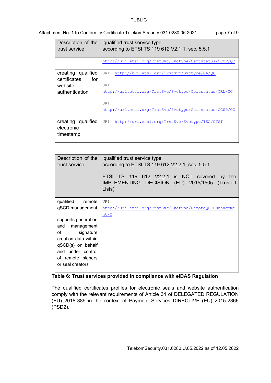#### PUBLIC

#### Attachment No. 1 to Conformity Certificate TelekomSecurity.031.0280.06.2021 page 7 of 9

| Description of the<br>trust service | 'qualified trust service type'<br>according to ETSI TS 119 612 V2.1.1, sec. 5.5.1 |
|-------------------------------------|-----------------------------------------------------------------------------------|
|                                     |                                                                                   |
|                                     | http://uri.etsi.org/TrstSvc/Svctype/Certstatus/OCSP/QC                            |
| creating qualified                  | URI: http://uri.etsi.org/TrstSvc/Svctype/CA/QC                                    |
| certificates<br>for                 |                                                                                   |
|                                     | URI:                                                                              |
| website                             |                                                                                   |
| authentication                      | http://uri.etsi.org/TrstSvc/Svctype/Certstatus/CRL/QC                             |
|                                     |                                                                                   |
|                                     | URI:                                                                              |
|                                     | http://uri.etsi.org/TrstSvc/Svctype/Certstatus/OCSP/QC                            |
|                                     |                                                                                   |
| creating qualified                  | URI: http://uri.etsi.org/TrstSvc/Svctype/TSA/QTST                                 |
| electronic                          |                                                                                   |
|                                     |                                                                                   |
| timestamp                           |                                                                                   |
|                                     |                                                                                   |

| Description of the<br>trust service     | 'qualified trust service type'<br>according to ETSI TS 119 612 V2.2.1, sec. 5.5.1<br>ETSI TS 119 612 V2.2.1 is NOT covered<br>by the<br>IMPLEMENTING DECISION (EU) 2015/1505 (Trusted<br>Lists) |
|-----------------------------------------|-------------------------------------------------------------------------------------------------------------------------------------------------------------------------------------------------|
| qualified<br>remote                     | URI:                                                                                                                                                                                            |
| qSCD management                         | http://uri.etsi.org/TrstSvc/Svctype/RemoteQSCDManageme                                                                                                                                          |
|                                         | nt/Q                                                                                                                                                                                            |
| supports generation                     |                                                                                                                                                                                                 |
| and<br>management                       |                                                                                                                                                                                                 |
| signature<br>of<br>creation data within |                                                                                                                                                                                                 |
| qSCD(s) on behalf                       |                                                                                                                                                                                                 |
| and under control                       |                                                                                                                                                                                                 |
| of remote signers                       |                                                                                                                                                                                                 |
| or seal creators                        |                                                                                                                                                                                                 |

#### Table 6: Trust services provided in compliance with eIDAS Regulation

The qualified certificates profiles for electronic seals and website authentication comply with the relevant requirements of Article 34 of DELEGATED REGULATION (EU) 2018-389 in the context of Payment Services DIRECTIVE (EU) 2015-2366 (PSD2).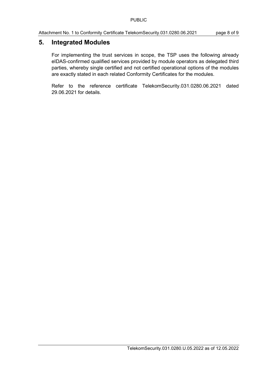## 5. Integrated Modules

For implementing the trust services in scope, the TSP uses the following already eIDAS-confirmed qualified services provided by module operators as delegated third parties, whereby single certified and not certified operational options of the modules are exactly stated in each related Conformity Certificates for the modules.

Refer to the reference certificate TelekomSecurity.031.0280.06.2021 dated 29.06.2021 for details.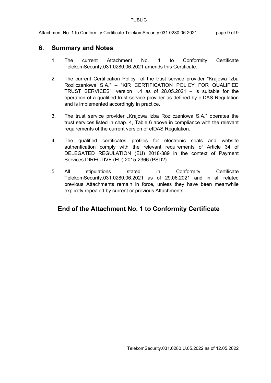## 6. Summary and Notes

- 1. The current Attachment No. 1 to Conformity Certificate TelekomSecurity.031.0280.06.2021 amends this Certificate.
- 2. The current Certification Policy of the trust service provider "Krajowa Izba Rozliczeniowa S.A." – "KIR CERTIFICATION POLICY FOR QUALIFIED TRUST SERVICES", version 1.4 as of 28.05.2021 – is suitable for the operation of a qualified trust service provider as defined by eIDAS Regulation and is implemented accordingly in practice.
- 3. The trust service provider "Krajowa Izba Rozliczeniowa S.A." operates the trust services listed in chap. 4, Table 6 above in compliance with the relevant requirements of the current version of eIDAS Regulation.
- 4. The qualified certificates profiles for electronic seals and website authentication comply with the relevant requirements of Article 34 of DELEGATED REGULATION (EU) 2018-389 in the context of Payment Services DIRECTIVE (EU) 2015-2366 (PSD2).
- 5. All stipulations stated in Conformity Certificate TelekomSecurity.031.0280.06.2021 as of 29.06.2021 and in all related previous Attachments remain in force, unless they have been meanwhile explicitly repealed by current or previous Attachments.

# End of the Attachment No. 1 to Conformity Certificate